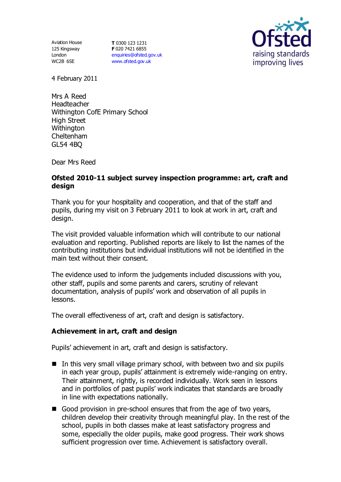125 Kingsway London WC2B 6SE

Aviation House **T** 0300 123 1231 **F** 020 7421 6855 [enquiries@ofsted.gov.uk](mailto:enquiries@ofsted.gov.uk) [www.ofsted.gov.uk](http://www.ofsted.gov.uk/)



4 February 2011

Mrs A Reed Headteacher Withington CofE Primary School High Street **Withington** Cheltenham GL54 4BQ

Dear Mrs Reed

#### **Ofsted 2010-11 subject survey inspection programme: art, craft and design**

Thank you for your hospitality and cooperation, and that of the staff and pupils, during my visit on 3 February 2011 to look at work in art, craft and design.

The visit provided valuable information which will contribute to our national evaluation and reporting. Published reports are likely to list the names of the contributing institutions but individual institutions will not be identified in the main text without their consent.

The evidence used to inform the judgements included discussions with you, other staff, pupils and some parents and carers, scrutiny of relevant documentation, analysis of pupils' work and observation of all pupils in lessons.

The overall effectiveness of art, craft and design is satisfactory.

#### **Achievement in art, craft and design**

Pupils' achievement in art, craft and design is satisfactory.

- $\blacksquare$  In this very small village primary school, with between two and six pupils in each year group, pupils' attainment is extremely wide-ranging on entry. Their attainment, rightly, is recorded individually. Work seen in lessons and in portfolios of past pupils' work indicates that standards are broadly in line with expectations nationally.
- Good provision in pre-school ensures that from the age of two years, children develop their creativity through meaningful play. In the rest of the school, pupils in both classes make at least satisfactory progress and some, especially the older pupils, make good progress. Their work shows sufficient progression over time. Achievement is satisfactory overall.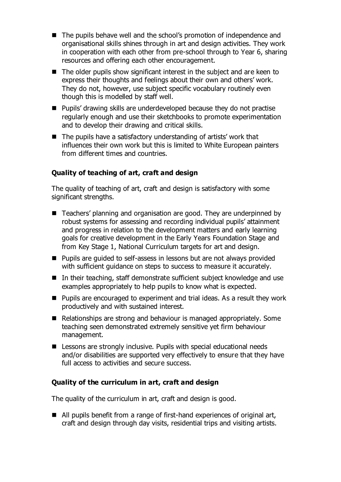- The pupils behave well and the school's promotion of independence and organisational skills shines through in art and design activities. They work in cooperation with each other from pre-school through to Year 6, sharing resources and offering each other encouragement.
- $\blacksquare$  The older pupils show significant interest in the subject and are keen to express their thoughts and feelings about their own and others' work. They do not, however, use subject specific vocabulary routinely even though this is modelled by staff well.
- Pupils' drawing skills are underdeveloped because they do not practise regularly enough and use their sketchbooks to promote experimentation and to develop their drawing and critical skills.
- $\blacksquare$  The pupils have a satisfactory understanding of artists' work that influences their own work but this is limited to White European painters from different times and countries.

# **Quality of teaching of art, craft and design**

The quality of teaching of art, craft and design is satisfactory with some significant strengths.

- Teachers' planning and organisation are good. They are underpinned by robust systems for assessing and recording individual pupils' attainment and progress in relation to the development matters and early learning goals for creative development in the Early Years Foundation Stage and from Key Stage 1, National Curriculum targets for art and design.
- Pupils are guided to self-assess in lessons but are not always provided with sufficient guidance on steps to success to measure it accurately.
- In their teaching, staff demonstrate sufficient subject knowledge and use examples appropriately to help pupils to know what is expected.
- Pupils are encouraged to experiment and trial ideas. As a result they work productively and with sustained interest.
- Relationships are strong and behaviour is managed appropriately. Some teaching seen demonstrated extremely sensitive yet firm behaviour management.
- Lessons are strongly inclusive. Pupils with special educational needs and/or disabilities are supported very effectively to ensure that they have full access to activities and secure success.

# **Quality of the curriculum in art, craft and design**

The quality of the curriculum in art, craft and design is good.

■ All pupils benefit from a range of first-hand experiences of original art, craft and design through day visits, residential trips and visiting artists.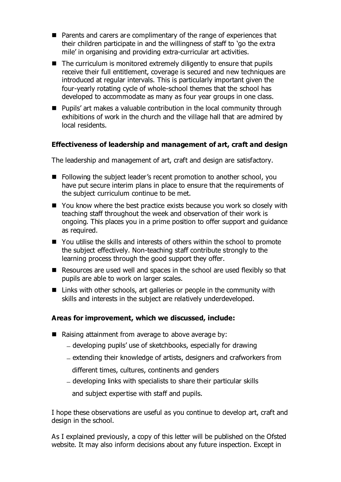- Parents and carers are complimentary of the range of experiences that their children participate in and the willingness of staff to 'go the extra mile' in organising and providing extra-curricular art activities.
- $\blacksquare$  The curriculum is monitored extremely diligently to ensure that pupils receive their full entitlement, coverage is secured and new techniques are introduced at regular intervals. This is particularly important given the four-yearly rotating cycle of whole-school themes that the school has developed to accommodate as many as four year groups in one class.
- Pupils' art makes a valuable contribution in the local community through exhibitions of work in the church and the village hall that are admired by local residents.

#### **Effectiveness of leadership and management of art, craft and design**

The leadership and management of art, craft and design are satisfactory.

- Following the subject leader's recent promotion to another school, you have put secure interim plans in place to ensure that the requirements of the subject curriculum continue to be met.
- You know where the best practice exists because you work so closely with teaching staff throughout the week and observation of their work is ongoing. This places you in a prime position to offer support and guidance as required.
- You utilise the skills and interests of others within the school to promote the subject effectively. Non-teaching staff contribute strongly to the learning process through the good support they offer.
- Resources are used well and spaces in the school are used flexibly so that pupils are able to work on larger scales.
- Links with other schools, art galleries or people in the community with skills and interests in the subject are relatively underdeveloped.

# **Areas for improvement, which we discussed, include:**

- Raising attainment from average to above average by:
	- developing pupils' use of sketchbooks, especially for drawing
	- extending their knowledge of artists, designers and crafworkers from
		- different times, cultures, continents and genders
	- developing links with specialists to share their particular skills

and subject expertise with staff and pupils.

I hope these observations are useful as you continue to develop art, craft and design in the school.

As I explained previously, a copy of this letter will be published on the Ofsted website. It may also inform decisions about any future inspection. Except in